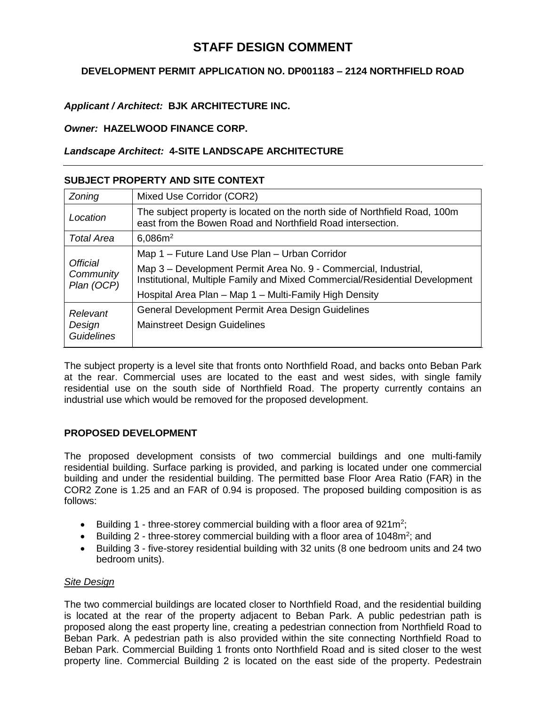# **STAFF DESIGN COMMENT**

# **DEVELOPMENT PERMIT APPLICATION NO. DP001183 – 2124 NORTHFIELD ROAD**

## *Applicant / Architect:* **BJK ARCHITECTURE INC.**

## *Owner:* **HAZELWOOD FINANCE CORP.**

## *Landscape Architect:* **4-SITE LANDSCAPE ARCHITECTURE**

## **SUBJECT PROPERTY AND SITE CONTEXT**

| Zoning                                  | Mixed Use Corridor (COR2)                                                                                                                      |
|-----------------------------------------|------------------------------------------------------------------------------------------------------------------------------------------------|
| Location                                | The subject property is located on the north side of Northfield Road, 100m<br>east from the Bowen Road and Northfield Road intersection.       |
| <b>Total Area</b>                       | 6,086m <sup>2</sup>                                                                                                                            |
| Official<br>Community<br>Plan (OCP)     | Map 1 – Future Land Use Plan – Urban Corridor                                                                                                  |
|                                         | Map 3 - Development Permit Area No. 9 - Commercial, Industrial,<br>Institutional, Multiple Family and Mixed Commercial/Residential Development |
|                                         | Hospital Area Plan - Map 1 - Multi-Family High Density                                                                                         |
| Relevant<br>Design<br><b>Guidelines</b> | General Development Permit Area Design Guidelines                                                                                              |
|                                         | <b>Mainstreet Design Guidelines</b>                                                                                                            |

The subject property is a level site that fronts onto Northfield Road, and backs onto Beban Park at the rear. Commercial uses are located to the east and west sides, with single family residential use on the south side of Northfield Road. The property currently contains an industrial use which would be removed for the proposed development.

## **PROPOSED DEVELOPMENT**

The proposed development consists of two commercial buildings and one multi-family residential building. Surface parking is provided, and parking is located under one commercial building and under the residential building. The permitted base Floor Area Ratio (FAR) in the COR2 Zone is 1.25 and an FAR of 0.94 is proposed. The proposed building composition is as follows:

- Building 1 three-storey commercial building with a floor area of  $921m^2$ ;
- Building 2 three-storey commercial building with a floor area of 1048 $m^2$ ; and
- Building 3 five-storey residential building with 32 units (8 one bedroom units and 24 two bedroom units).

## *Site Design*

The two commercial buildings are located closer to Northfield Road, and the residential building is located at the rear of the property adjacent to Beban Park. A public pedestrian path is proposed along the east property line, creating a pedestrian connection from Northfield Road to Beban Park. A pedestrian path is also provided within the site connecting Northfield Road to Beban Park. Commercial Building 1 fronts onto Northfield Road and is sited closer to the west property line. Commercial Building 2 is located on the east side of the property. Pedestrain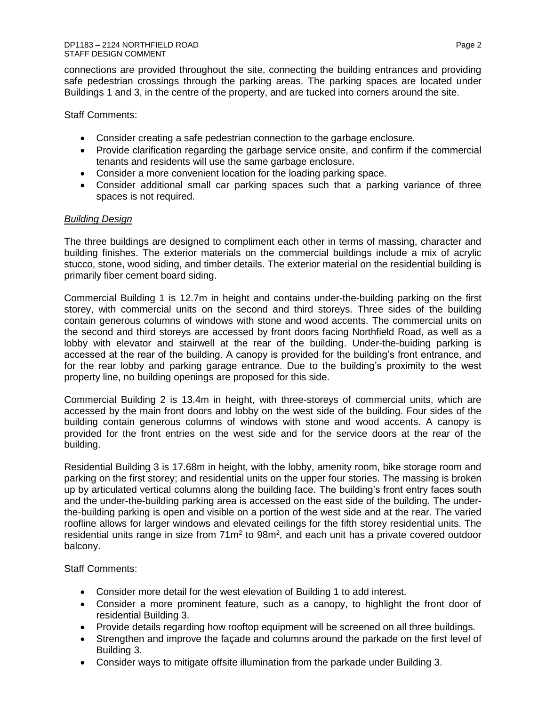connections are provided throughout the site, connecting the building entrances and providing safe pedestrian crossings through the parking areas. The parking spaces are located under Buildings 1 and 3, in the centre of the property, and are tucked into corners around the site.

Staff Comments:

- Consider creating a safe pedestrian connection to the garbage enclosure.
- Provide clarification regarding the garbage service onsite, and confirm if the commercial tenants and residents will use the same garbage enclosure.
- Consider a more convenient location for the loading parking space.
- Consider additional small car parking spaces such that a parking variance of three spaces is not required.

#### *Building Design*

The three buildings are designed to compliment each other in terms of massing, character and building finishes. The exterior materials on the commercial buildings include a mix of acrylic stucco, stone, wood siding, and timber details. The exterior material on the residential building is primarily fiber cement board siding.

Commercial Building 1 is 12.7m in height and contains under-the-building parking on the first storey, with commercial units on the second and third storeys. Three sides of the building contain generous columns of windows with stone and wood accents. The commercial units on the second and third storeys are accessed by front doors facing Northfield Road, as well as a lobby with elevator and stairwell at the rear of the building. Under-the-buiding parking is accessed at the rear of the building. A canopy is provided for the building's front entrance, and for the rear lobby and parking garage entrance. Due to the building's proximity to the west property line, no building openings are proposed for this side.

Commercial Building 2 is 13.4m in height, with three-storeys of commercial units, which are accessed by the main front doors and lobby on the west side of the building. Four sides of the building contain generous columns of windows with stone and wood accents. A canopy is provided for the front entries on the west side and for the service doors at the rear of the building.

Residential Building 3 is 17.68m in height, with the lobby, amenity room, bike storage room and parking on the first storey; and residential units on the upper four stories. The massing is broken up by articulated vertical columns along the building face. The building's front entry faces south and the under-the-building parking area is accessed on the east side of the building. The underthe-building parking is open and visible on a portion of the west side and at the rear. The varied roofline allows for larger windows and elevated ceilings for the fifth storey residential units. The residential units range in size from  $71m^2$  to  $98m^2$ , and each unit has a private covered outdoor balcony.

Staff Comments:

- Consider more detail for the west elevation of Building 1 to add interest.
- Consider a more prominent feature, such as a canopy, to highlight the front door of residential Building 3.
- Provide details regarding how rooftop equipment will be screened on all three buildings.
- Strengthen and improve the façade and columns around the parkade on the first level of Building 3.
- Consider ways to mitigate offsite illumination from the parkade under Building 3.